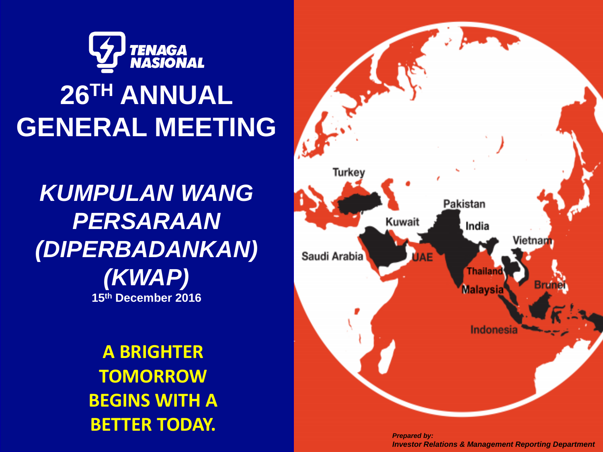

## **26TH ANNUAL GENERAL MEETING**

*KUMPULAN WANG PERSARAAN (DIPERBADANKAN) (KWAP)* **15th December 2016**

> **A BRIGHTER TOMORROW BEGINS WITH A BETTER TODAY.**



*Prepared by: Investor Relations & Management Reporting Department*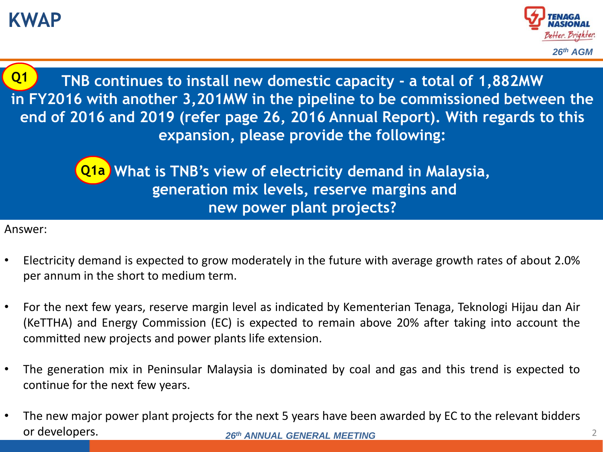## **KWAP**



2

**TNB continues to install new domestic capacity - a total of 1,882MW in FY2016 with another 3,201MW in the pipeline to be commissioned between the end of 2016 and 2019 (refer page 26, 2016 Annual Report). With regards to this expansion, please provide the following: Q1**

> **What is TNB's view of electricity demand in Malaysia, Q1ageneration mix levels, reserve margins and new power plant projects?**

- Electricity demand is expected to grow moderately in the future with average growth rates of about 2.0% per annum in the short to medium term.
- For the next few years, reserve margin level as indicated by Kementerian Tenaga, Teknologi Hijau dan Air (KeTTHA) and Energy Commission (EC) is expected to remain above 20% after taking into account the committed new projects and power plants life extension.
- The generation mix in Peninsular Malaysia is dominated by coal and gas and this trend is expected to continue for the next few years.
- *26th ANNUAL GENERAL MEETING* • The new major power plant projects for the next 5 years have been awarded by EC to the relevant bidders or developers.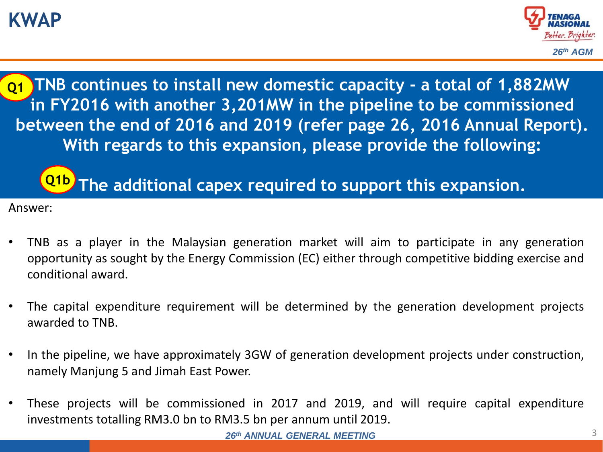## **KWAP**



**TNB continues to install new domestic capacity - a total of 1,882MW in FY2016 with another 3,201MW in the pipeline to be commissioned between the end of 2016 and 2019 (refer page 26, 2016 Annual Report). With regards to this expansion, please provide the following: Q1**

## **The additional capex required to support this expansion. Q1b**

- TNB as a player in the Malaysian generation market will aim to participate in any generation opportunity as sought by the Energy Commission (EC) either through competitive bidding exercise and conditional award.
- The capital expenditure requirement will be determined by the generation development projects awarded to TNB.
- In the pipeline, we have approximately 3GW of generation development projects under construction, namely Manjung 5 and Jimah East Power.
- These projects will be commissioned in 2017 and 2019, and will require capital expenditure investments totalling RM3.0 bn to RM3.5 bn per annum until 2019.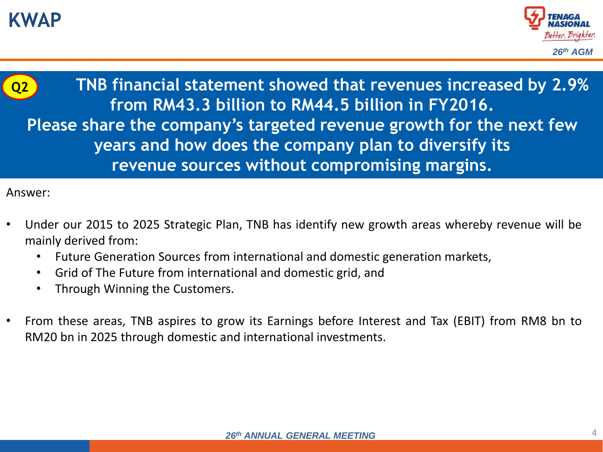



**TNB financial statement showed that revenues increased by 2.9% from RM43.3 billion to RM44.5 billion in FY2016. Please share the company's targeted revenue growth for the next few years and how does the company plan to diversify its revenue sources without compromising margins. Q2**

- Under our 2015 to 2025 Strategic Plan, TNB has identify new growth areas whereby revenue will be mainly derived from:
	- Future Generation Sources from international and domestic generation markets,
	- Grid of The Future from international and domestic grid, and
	- Through Winning the Customers.
- From these areas, TNB aspires to grow its Earnings before Interest and Tax (EBIT) from RM8 bn to RM20 bn in 2025 through domestic and international investments.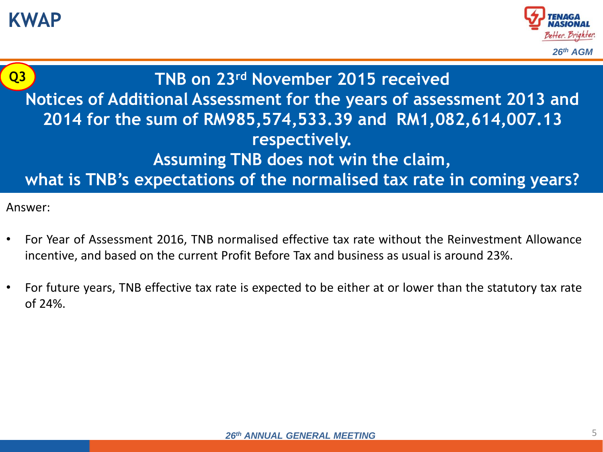**KWAP**





**TNB on 23rd November 2015 received Notices of Additional Assessment for the years of assessment 2013 and 2014 for the sum of RM985,574,533.39 and RM1,082,614,007.13 respectively. Assuming TNB does not win the claim, what is TNB's expectations of the normalised tax rate in coming years?**

- For Year of Assessment 2016, TNB normalised effective tax rate without the Reinvestment Allowance incentive, and based on the current Profit Before Tax and business as usual is around 23%.
- For future years, TNB effective tax rate is expected to be either at or lower than the statutory tax rate of 24%.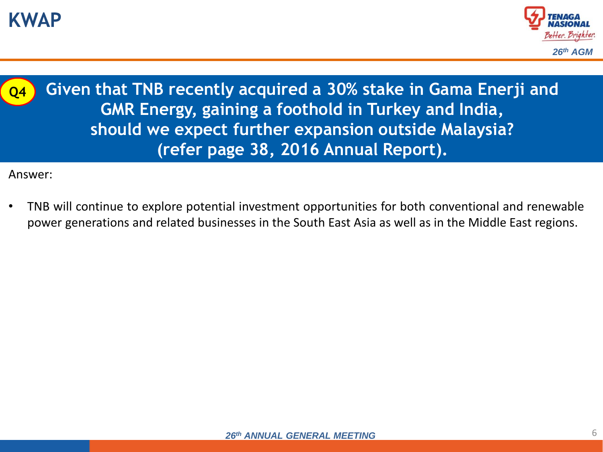

**Q4**

**Given that TNB recently acquired a 30% stake in Gama Enerji and GMR Energy, gaining a foothold in Turkey and India, should we expect further expansion outside Malaysia? (refer page 38, 2016 Annual Report).**

Answer:

• TNB will continue to explore potential investment opportunities for both conventional and renewable power generations and related businesses in the South East Asia as well as in the Middle East regions.